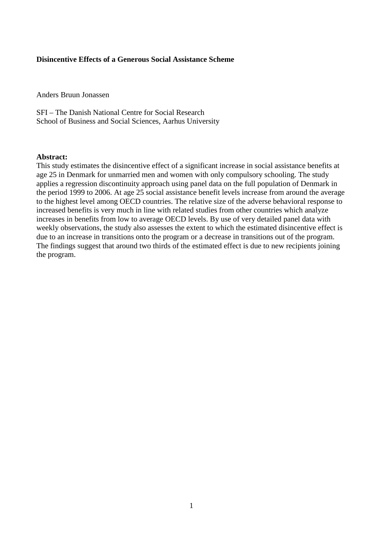#### **Disincentive Effects of a Generous Social Assistance Scheme**

Anders Bruun Jonassen

SFI – The Danish National Centre for Social Research School of Business and Social Sciences, Aarhus University

#### **Abstract:**

This study estimates the disincentive effect of a significant increase in social assistance benefits at age 25 in Denmark for unmarried men and women with only compulsory schooling. The study applies a regression discontinuity approach using panel data on the full population of Denmark in the period 1999 to 2006. At age 25 social assistance benefit levels increase from around the average to the highest level among OECD countries. The relative size of the adverse behavioral response to increased benefits is very much in line with related studies from other countries which analyze increases in benefits from low to average OECD levels. By use of very detailed panel data with weekly observations, the study also assesses the extent to which the estimated disincentive effect is due to an increase in transitions onto the program or a decrease in transitions out of the program. The findings suggest that around two thirds of the estimated effect is due to new recipients joining the program.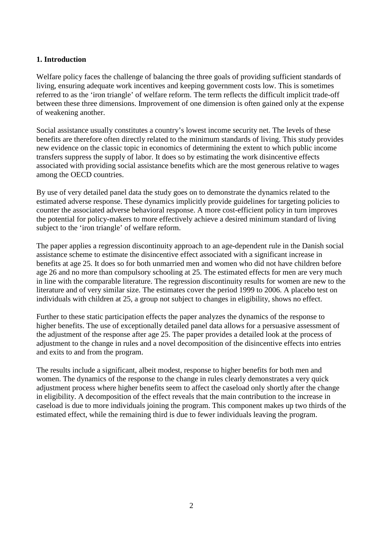## **1. Introduction**

Welfare policy faces the challenge of balancing the three goals of providing sufficient standards of living, ensuring adequate work incentives and keeping government costs low. This is sometimes referred to as the 'iron triangle' of welfare reform. The term reflects the difficult implicit trade-off between these three dimensions. Improvement of one dimension is often gained only at the expense of weakening another.

Social assistance usually constitutes a country's lowest income security net. The levels of these benefits are therefore often directly related to the minimum standards of living. This study provides new evidence on the classic topic in economics of determining the extent to which public income transfers suppress the supply of labor. It does so by estimating the work disincentive effects associated with providing social assistance benefits which are the most generous relative to wages among the OECD countries.

By use of very detailed panel data the study goes on to demonstrate the dynamics related to the estimated adverse response. These dynamics implicitly provide guidelines for targeting policies to counter the associated adverse behavioral response. A more cost-efficient policy in turn improves the potential for policy-makers to more effectively achieve a desired minimum standard of living subject to the 'iron triangle' of welfare reform.

The paper applies a regression discontinuity approach to an age-dependent rule in the Danish social assistance scheme to estimate the disincentive effect associated with a significant increase in benefits at age 25. It does so for both unmarried men and women who did not have children before age 26 and no more than compulsory schooling at 25. The estimated effects for men are very much in line with the comparable literature. The regression discontinuity results for women are new to the literature and of very similar size. The estimates cover the period 1999 to 2006. A placebo test on individuals with children at 25, a group not subject to changes in eligibility, shows no effect.

Further to these static participation effects the paper analyzes the dynamics of the response to higher benefits. The use of exceptionally detailed panel data allows for a persuasive assessment of the adjustment of the response after age 25. The paper provides a detailed look at the process of adjustment to the change in rules and a novel decomposition of the disincentive effects into entries and exits to and from the program.

The results include a significant, albeit modest, response to higher benefits for both men and women. The dynamics of the response to the change in rules clearly demonstrates a very quick adjustment process where higher benefits seem to affect the caseload only shortly after the change in eligibility. A decomposition of the effect reveals that the main contribution to the increase in caseload is due to more individuals joining the program. This component makes up two thirds of the estimated effect, while the remaining third is due to fewer individuals leaving the program.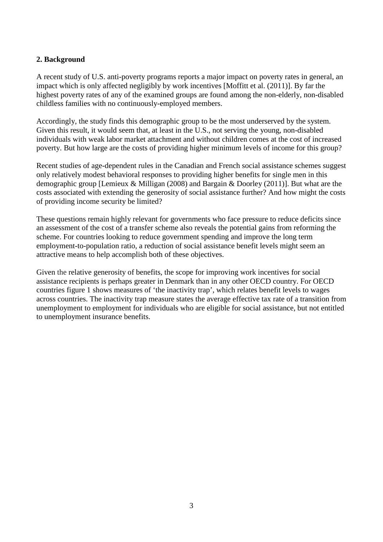## **2. Background**

A recent study of U.S. anti-poverty programs reports a major impact on poverty rates in general, an impact which is only affected negligibly by work incentives [Moffitt et al. (2011)]. By far the highest poverty rates of any of the examined groups are found among the non-elderly, non-disabled childless families with no continuously-employed members.

Accordingly, the study finds this demographic group to be the most underserved by the system. Given this result, it would seem that, at least in the U.S., not serving the young, non-disabled individuals with weak labor market attachment and without children comes at the cost of increased poverty. But how large are the costs of providing higher minimum levels of income for this group?

Recent studies of age-dependent rules in the Canadian and French social assistance schemes suggest only relatively modest behavioral responses to providing higher benefits for single men in this demographic group [Lemieux & Milligan (2008) and Bargain & Doorley (2011)]. But what are the costs associated with extending the generosity of social assistance further? And how might the costs of providing income security be limited?

These questions remain highly relevant for governments who face pressure to reduce deficits since an assessment of the cost of a transfer scheme also reveals the potential gains from reforming the scheme. For countries looking to reduce government spending and improve the long term employment-to-population ratio, a reduction of social assistance benefit levels might seem an attractive means to help accomplish both of these objectives.

Given the relative generosity of benefits, the scope for improving work incentives for social assistance recipients is perhaps greater in Denmark than in any other OECD country. For OECD countries figure 1 shows measures of 'the inactivity trap', which relates benefit levels to wages across countries. The inactivity trap measure states the average effective tax rate of a transition from unemployment to employment for individuals who are eligible for social assistance, but not entitled to unemployment insurance benefits.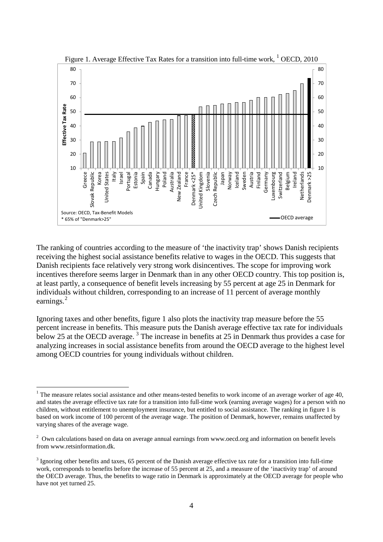

Figure [1](#page-3-0). Average Effective Tax Rates for a transition into full-time work,  $1$  OECD, 2010

The ranking of countries according to the measure of 'the inactivity trap' shows Danish recipients receiving the highest social assistance benefits relative to wages in the OECD. This suggests that Danish recipients face relatively very strong work disincentives. The scope for improving work incentives therefore seems larger in Denmark than in any other OECD country. This top position is, at least partly, a consequence of benefit levels increasing by 55 percent at age 25 in Denmark for individuals without children, corresponding to an increase of 11 percent of average monthly earnings.<sup>[2](#page-3-1)</sup>

Ignoring taxes and other benefits, figure 1 also plots the inactivity trap measure before the 55 percent increase in benefits. This measure puts the Danish average effective tax rate for individuals below 25 at the OECD average.<sup>[3](#page-3-2)</sup> The increase in benefits at 25 in Denmark thus provides a case for analyzing increases in social assistance benefits from around the OECD average to the highest level among OECD countries for young individuals without children.

<span id="page-3-0"></span><sup>&</sup>lt;sup>1</sup> The measure relates social assistance and other means-tested benefits to work income of an average worker of age 40, and states the average effective tax rate for a transition into full-time work (earning average wages) for a person with no children, without entitlement to unemployment insurance, but entitled to social assistance. The ranking in figure 1 is based on work income of 100 percent of the average wage. The position of Denmark, however, remains unaffected by varying shares of the average wage.

<span id="page-3-1"></span><sup>&</sup>lt;sup>2</sup> Own calculations based on data on average annual earnings from www.oecd.org and information on benefit levels from www.retsinformation.dk.

<span id="page-3-2"></span><sup>&</sup>lt;sup>3</sup> Ignoring other benefits and taxes, 65 percent of the Danish average effective tax rate for a transition into full-time work, corresponds to benefits before the increase of 55 percent at 25, and a measure of the 'inactivity trap' of around the OECD average. Thus, the benefits to wage ratio in Denmark is approximately at the OECD average for people who have not yet turned 25.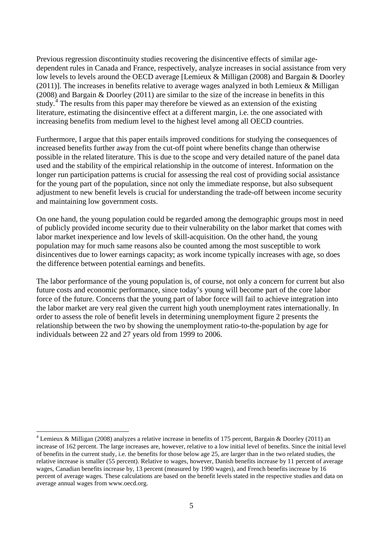Previous regression discontinuity studies recovering the disincentive effects of similar agedependent rules in Canada and France, respectively, analyze increases in social assistance from very low levels to levels around the OECD average [Lemieux & Milligan (2008) and Bargain & Doorley (2011)]. The increases in benefits relative to average wages analyzed in both Lemieux & Milligan (2008) and Bargain & Doorley (2011) are similar to the size of the increase in benefits in this study.<sup>[4](#page-4-0)</sup> The results from this paper may therefore be viewed as an extension of the existing literature, estimating the disincentive effect at a different margin, i.e. the one associated with increasing benefits from medium level to the highest level among all OECD countries.

Furthermore, I argue that this paper entails improved conditions for studying the consequences of increased benefits further away from the cut-off point where benefits change than otherwise possible in the related literature. This is due to the scope and very detailed nature of the panel data used and the stability of the empirical relationship in the outcome of interest. Information on the longer run participation patterns is crucial for assessing the real cost of providing social assistance for the young part of the population, since not only the immediate response, but also subsequent adjustment to new benefit levels is crucial for understanding the trade-off between income security and maintaining low government costs.

On one hand, the young population could be regarded among the demographic groups most in need of publicly provided income security due to their vulnerability on the labor market that comes with labor market inexperience and low levels of skill-acquisition. On the other hand, the young population may for much same reasons also be counted among the most susceptible to work disincentives due to lower earnings capacity; as work income typically increases with age, so does the difference between potential earnings and benefits.

The labor performance of the young population is, of course, not only a concern for current but also future costs and economic performance, since today's young will become part of the core labor force of the future. Concerns that the young part of labor force will fail to achieve integration into the labor market are very real given the current high youth unemployment rates internationally. In order to assess the role of benefit levels in determining unemployment figure 2 presents the relationship between the two by showing the unemployment ratio-to-the-population by age for individuals between 22 and 27 years old from 1999 to 2006.

<span id="page-4-0"></span><sup>&</sup>lt;sup>4</sup> Lemieux & Milligan (2008) analyzes a relative increase in benefits of 175 percent, Bargain & Doorley (2011) an increase of 162 percent. The large increases are, however, relative to a low initial level of benefits. Since the initial level of benefits in the current study, i.e. the benefits for those below age 25, are larger than in the two related studies, the relative increase is smaller (55 percent). Relative to wages, however, Danish benefits increase by 11 percent of average wages, Canadian benefits increase by, 13 percent (measured by 1990 wages), and French benefits increase by 16 percent of average wages. These calculations are based on the benefit levels stated in the respective studies and data on average annual wages from www.oecd.org.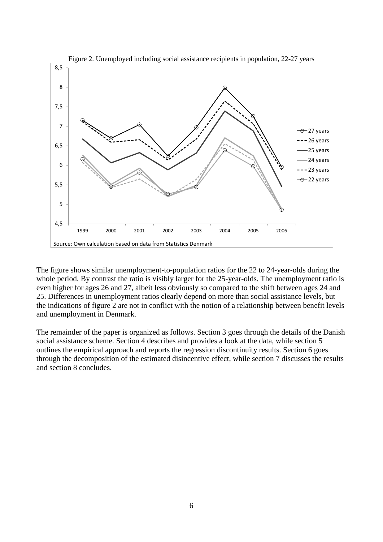

The figure shows similar unemployment-to-population ratios for the 22 to 24-year-olds during the whole period. By contrast the ratio is visibly larger for the 25-year-olds. The unemployment ratio is even higher for ages 26 and 27, albeit less obviously so compared to the shift between ages 24 and 25. Differences in unemployment ratios clearly depend on more than social assistance levels, but the indications of figure 2 are not in conflict with the notion of a relationship between benefit levels and unemployment in Denmark.

The remainder of the paper is organized as follows. Section 3 goes through the details of the Danish social assistance scheme. Section 4 describes and provides a look at the data, while section 5 outlines the empirical approach and reports the regression discontinuity results. Section 6 goes through the decomposition of the estimated disincentive effect, while section 7 discusses the results and section 8 concludes.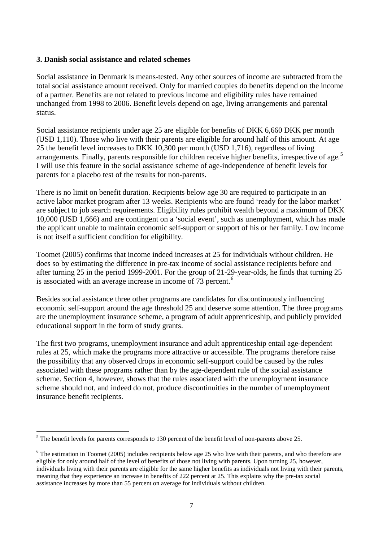#### **3. Danish social assistance and related schemes**

Social assistance in Denmark is means-tested. Any other sources of income are subtracted from the total social assistance amount received. Only for married couples do benefits depend on the income of a partner. Benefits are not related to previous income and eligibility rules have remained unchanged from 1998 to 2006. Benefit levels depend on age, living arrangements and parental status.

Social assistance recipients under age 25 are eligible for benefits of DKK 6,660 DKK per month (USD 1,110). Those who live with their parents are eligible for around half of this amount. At age 25 the benefit level increases to DKK 10,300 per month (USD 1,716), regardless of living arrangements. Finally, parents responsible for children receive higher benefits, irrespective of age. [5](#page-6-0) I will use this feature in the social assistance scheme of age-independence of benefit levels for parents for a placebo test of the results for non-parents.

There is no limit on benefit duration. Recipients below age 30 are required to participate in an active labor market program after 13 weeks. Recipients who are found 'ready for the labor market' are subject to job search requirements. Eligibility rules prohibit wealth beyond a maximum of DKK 10,000 (USD 1,666) and are contingent on a 'social event', such as unemployment, which has made the applicant unable to maintain economic self-support or support of his or her family. Low income is not itself a sufficient condition for eligibility.

Toomet (2005) confirms that income indeed increases at 25 for individuals without children. He does so by estimating the difference in pre-tax income of social assistance recipients before and after turning 25 in the period 1999-2001. For the group of 21-29-year-olds, he finds that turning 25 is associated with an average increase in income of 73 percent.<sup>[6](#page-6-1)</sup>

Besides social assistance three other programs are candidates for discontinuously influencing economic self-support around the age threshold 25 and deserve some attention. The three programs are the unemployment insurance scheme, a program of adult apprenticeship, and publicly provided educational support in the form of study grants.

The first two programs, unemployment insurance and adult apprenticeship entail age-dependent rules at 25, which make the programs more attractive or accessible. The programs therefore raise the possibility that any observed drops in economic self-support could be caused by the rules associated with these programs rather than by the age-dependent rule of the social assistance scheme. Section 4, however, shows that the rules associated with the unemployment insurance scheme should not, and indeed do not, produce discontinuities in the number of unemployment insurance benefit recipients.

<span id="page-6-0"></span> $<sup>5</sup>$  The benefit levels for parents corresponds to 130 percent of the benefit level of non-parents above 25.</sup>

<span id="page-6-1"></span> $6$  The estimation in Toomet (2005) includes recipients below age 25 who live with their parents, and who therefore are eligible for only around half of the level of benefits of those not living with parents. Upon turning 25, however, individuals living with their parents are eligible for the same higher benefits as individuals not living with their parents, meaning that they experience an increase in benefits of 222 percent at 25. This explains why the pre-tax social assistance increases by more than 55 percent on average for individuals without children.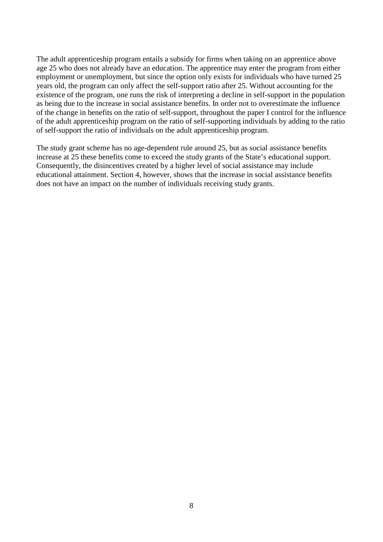The adult apprenticeship program entails a subsidy for firms when taking on an apprentice above age 25 who does not already have an education. The apprentice may enter the program from either employment or unemployment, but since the option only exists for individuals who have turned 25 years old, the program can only affect the self-support ratio after 25. Without accounting for the existence of the program, one runs the risk of interpreting a decline in self-support in the population as being due to the increase in social assistance benefits. In order not to overestimate the influence of the change in benefits on the ratio of self-support, throughout the paper I control for the influence of the adult apprenticeship program on the ratio of self-supporting individuals by adding to the ratio of self-support the ratio of individuals on the adult apprenticeship program.

The study grant scheme has no age-dependent rule around 25, but as social assistance benefits increase at 25 these benefits come to exceed the study grants of the State's educational support. Consequently, the disincentives created by a higher level of social assistance may include educational attainment. Section 4, however, shows that the increase in social assistance benefits does not have an impact on the number of individuals receiving study grants.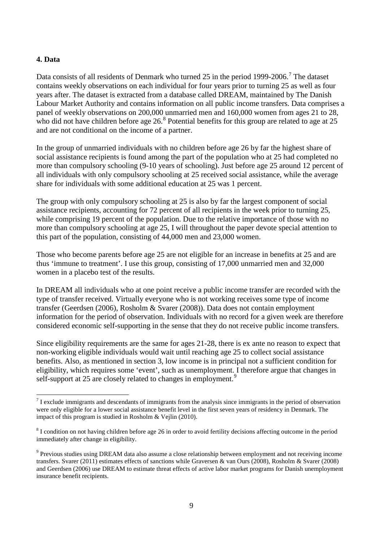#### **4. Data**

Data consists of all residents of Denmark who turned 25 in the period 1999-2006.<sup>[7](#page-8-0)</sup> The dataset contains weekly observations on each individual for four years prior to turning 25 as well as four years after. The dataset is extracted from a database called DREAM, maintained by The Danish Labour Market Authority and contains information on all public income transfers. Data comprises a panel of weekly observations on 200,000 unmarried men and 160,000 women from ages 21 to 28, who did not have children before age 26.<sup>[8](#page-8-1)</sup> Potential benefits for this group are related to age at 25 and are not conditional on the income of a partner.

In the group of unmarried individuals with no children before age 26 by far the highest share of social assistance recipients is found among the part of the population who at 25 had completed no more than compulsory schooling (9-10 years of schooling). Just before age 25 around 12 percent of all individuals with only compulsory schooling at 25 received social assistance, while the average share for individuals with some additional education at 25 was 1 percent.

The group with only compulsory schooling at 25 is also by far the largest component of social assistance recipients, accounting for 72 percent of all recipients in the week prior to turning 25, while comprising 19 percent of the population. Due to the relative importance of those with no more than compulsory schooling at age 25, I will throughout the paper devote special attention to this part of the population, consisting of 44,000 men and 23,000 women.

Those who become parents before age 25 are not eligible for an increase in benefits at 25 and are thus 'immune to treatment'. I use this group, consisting of 17,000 unmarried men and 32,000 women in a placebo test of the results.

In DREAM all individuals who at one point receive a public income transfer are recorded with the type of transfer received. Virtually everyone who is not working receives some type of income transfer (Geerdsen (2006), Rosholm & Svarer (2008)). Data does not contain employment information for the period of observation. Individuals with no record for a given week are therefore considered economic self-supporting in the sense that they do not receive public income transfers.

Since eligibility requirements are the same for ages 21-28, there is ex ante no reason to expect that non-working eligible individuals would wait until reaching age 25 to collect social assistance benefits. Also, as mentioned in section 3, low income is in principal not a sufficient condition for eligibility, which requires some 'event', such as unemployment. I therefore argue that changes in self-support at 25 are closely related to changes in employment.<sup>[9](#page-8-2)</sup>

<span id="page-8-0"></span><sup>&</sup>lt;sup>7</sup> I exclude immigrants and descendants of immigrants from the analysis since immigrants in the period of observation were only eligible for a lower social assistance benefit level in the first seven years of residency in Denmark. The impact of this program is studied in Rosholm & Vejlin (2010).

<span id="page-8-1"></span><sup>&</sup>lt;sup>8</sup> I condition on not having children before age 26 in order to avoid fertility decisions affecting outcome in the period immediately after change in eligibility.

<span id="page-8-2"></span><sup>&</sup>lt;sup>9</sup> Previous studies using DREAM data also assume a close relationship between employment and not receiving income transfers. Svarer (2011) estimates effects of sanctions while Graversen & van Ours (2008), Rosholm & Svarer (2008) and Geerdsen (2006) use DREAM to estimate threat effects of active labor market programs for Danish unemployment insurance benefit recipients.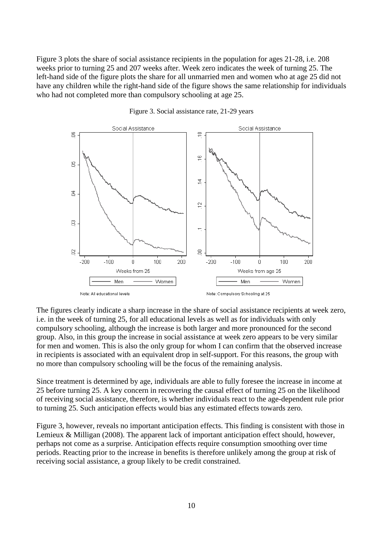Figure 3 plots the share of social assistance recipients in the population for ages 21-28, i.e. 208 weeks prior to turning 25 and 207 weeks after. Week zero indicates the week of turning 25. The left-hand side of the figure plots the share for all unmarried men and women who at age 25 did not have any children while the right-hand side of the figure shows the same relationship for individuals who had not completed more than compulsory schooling at age 25.



Figure 3. Social assistance rate, 21-29 years

The figures clearly indicate a sharp increase in the share of social assistance recipients at week zero, i.e. in the week of turning 25, for all educational levels as well as for individuals with only compulsory schooling, although the increase is both larger and more pronounced for the second group. Also, in this group the increase in social assistance at week zero appears to be very similar for men and women. This is also the only group for whom I can confirm that the observed increase in recipients is associated with an equivalent drop in self-support. For this reasons, the group with no more than compulsory schooling will be the focus of the remaining analysis.

Since treatment is determined by age, individuals are able to fully foresee the increase in income at 25 before turning 25. A key concern in recovering the causal effect of turning 25 on the likelihood of receiving social assistance, therefore, is whether individuals react to the age-dependent rule prior to turning 25. Such anticipation effects would bias any estimated effects towards zero.

Figure 3, however, reveals no important anticipation effects. This finding is consistent with those in Lemieux & Milligan (2008). The apparent lack of important anticipation effect should, however, perhaps not come as a surprise. Anticipation effects require consumption smoothing over time periods. Reacting prior to the increase in benefits is therefore unlikely among the group at risk of receiving social assistance, a group likely to be credit constrained.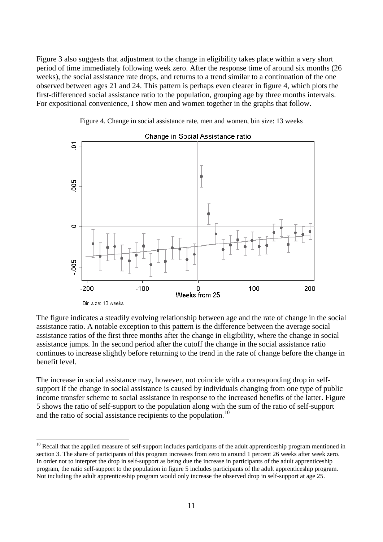Figure 3 also suggests that adjustment to the change in eligibility takes place within a very short period of time immediately following week zero. After the response time of around six months (26 weeks), the social assistance rate drops, and returns to a trend similar to a continuation of the one observed between ages 21 and 24. This pattern is perhaps even clearer in figure 4, which plots the first-differenced social assistance ratio to the population, grouping age by three months intervals. For expositional convenience, I show men and women together in the graphs that follow.



Figure 4. Change in social assistance rate, men and women, bin size: 13 weeks

The figure indicates a steadily evolving relationship between age and the rate of change in the social assistance ratio. A notable exception to this pattern is the difference between the average social assistance ratios of the first three months after the change in eligibility, where the change in social assistance jumps. In the second period after the cutoff the change in the social assistance ratio continues to increase slightly before returning to the trend in the rate of change before the change in benefit level.

The increase in social assistance may, however, not coincide with a corresponding drop in selfsupport if the change in social assistance is caused by individuals changing from one type of public income transfer scheme to social assistance in response to the increased benefits of the latter. Figure 5 shows the ratio of self-support to the population along with the sum of the ratio of self-support and the ratio of social assistance recipients to the population.<sup>[10](#page-10-0)</sup>

<span id="page-10-0"></span> $10$  Recall that the applied measure of self-support includes participants of the adult apprenticeship program mentioned in section 3. The share of participants of this program increases from zero to around 1 percent 26 weeks after week zero. In order not to interpret the drop in self-support as being due the increase in participants of the adult apprenticeship program, the ratio self-support to the population in figure 5 includes participants of the adult apprenticeship program. Not including the adult apprenticeship program would only increase the observed drop in self-support at age 25.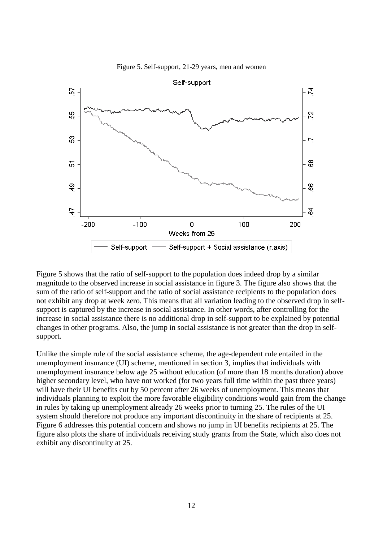

Figure 5. Self-support, 21-29 years, men and women

Figure 5 shows that the ratio of self-support to the population does indeed drop by a similar magnitude to the observed increase in social assistance in figure 3. The figure also shows that the sum of the ratio of self-support and the ratio of social assistance recipients to the population does not exhibit any drop at week zero. This means that all variation leading to the observed drop in selfsupport is captured by the increase in social assistance. In other words, after controlling for the increase in social assistance there is no additional drop in self-support to be explained by potential changes in other programs. Also, the jump in social assistance is not greater than the drop in selfsupport.

Unlike the simple rule of the social assistance scheme, the age-dependent rule entailed in the unemployment insurance (UI) scheme, mentioned in section 3, implies that individuals with unemployment insurance below age 25 without education (of more than 18 months duration) above higher secondary level, who have not worked (for two years full time within the past three years) will have their UI benefits cut by 50 percent after 26 weeks of unemployment. This means that individuals planning to exploit the more favorable eligibility conditions would gain from the change in rules by taking up unemployment already 26 weeks prior to turning 25. The rules of the UI system should therefore not produce any important discontinuity in the share of recipients at 25. Figure 6 addresses this potential concern and shows no jump in UI benefits recipients at 25. The figure also plots the share of individuals receiving study grants from the State, which also does not exhibit any discontinuity at 25.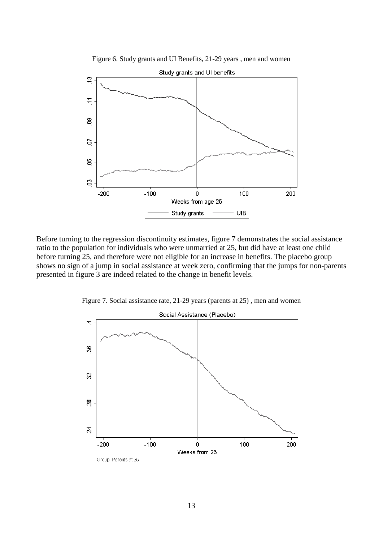



Before turning to the regression discontinuity estimates, figure 7 demonstrates the social assistance ratio to the population for individuals who were unmarried at 25, but did have at least one child before turning 25, and therefore were not eligible for an increase in benefits. The placebo group shows no sign of a jump in social assistance at week zero, confirming that the jumps for non-parents presented in figure 3 are indeed related to the change in benefit levels.



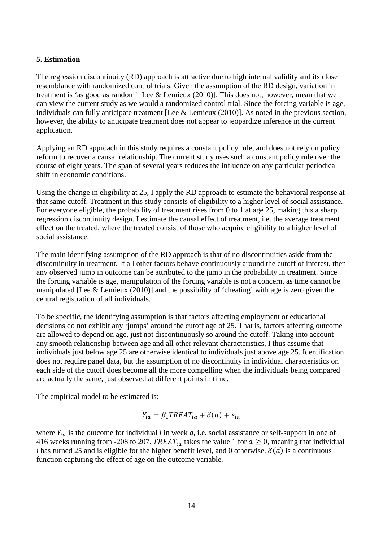## **5. Estimation**

The regression discontinuity (RD) approach is attractive due to high internal validity and its close resemblance with randomized control trials. Given the assumption of the RD design, variation in treatment is 'as good as random' [Lee & Lemieux (2010)]. This does not, however, mean that we can view the current study as we would a randomized control trial. Since the forcing variable is age, individuals can fully anticipate treatment [Lee & Lemieux (2010)]. As noted in the previous section, however, the ability to anticipate treatment does not appear to jeopardize inference in the current application.

Applying an RD approach in this study requires a constant policy rule, and does not rely on policy reform to recover a causal relationship. The current study uses such a constant policy rule over the course of eight years. The span of several years reduces the influence on any particular periodical shift in economic conditions.

Using the change in eligibility at 25, I apply the RD approach to estimate the behavioral response at that same cutoff. Treatment in this study consists of eligibility to a higher level of social assistance. For everyone eligible, the probability of treatment rises from 0 to 1 at age 25, making this a sharp regression discontinuity design. I estimate the causal effect of treatment, i.e. the average treatment effect on the treated, where the treated consist of those who acquire eligibility to a higher level of social assistance.

The main identifying assumption of the RD approach is that of no discontinuities aside from the discontinuity in treatment. If all other factors behave continuously around the cutoff of interest, then any observed jump in outcome can be attributed to the jump in the probability in treatment. Since the forcing variable is age, manipulation of the forcing variable is not a concern, as time cannot be manipulated [Lee & Lemieux (2010)] and the possibility of 'cheating' with age is zero given the central registration of all individuals.

To be specific, the identifying assumption is that factors affecting employment or educational decisions do not exhibit any 'jumps' around the cutoff age of 25. That is, factors affecting outcome are allowed to depend on age, just not discontinuously so around the cutoff. Taking into account any smooth relationship between age and all other relevant characteristics, I thus assume that individuals just below age 25 are otherwise identical to individuals just above age 25. Identification does not require panel data, but the assumption of no discontinuity in individual characteristics on each side of the cutoff does become all the more compelling when the individuals being compared are actually the same, just observed at different points in time.

The empirical model to be estimated is:

$$
Y_{ia} = \beta_1 T REAL_{ia} + \delta(a) + \varepsilon_{ia}
$$

where  $Y_{ia}$  is the outcome for individual *i* in week *a*, i.e. social assistance or self-support in one of 416 weeks running from -208 to 207. TREAT<sub>ia</sub> takes the value 1 for  $a \ge 0$ , meaning that individual *i* has turned 25 and is eligible for the higher benefit level, and 0 otherwise.  $\delta(a)$  is a continuous function capturing the effect of age on the outcome variable.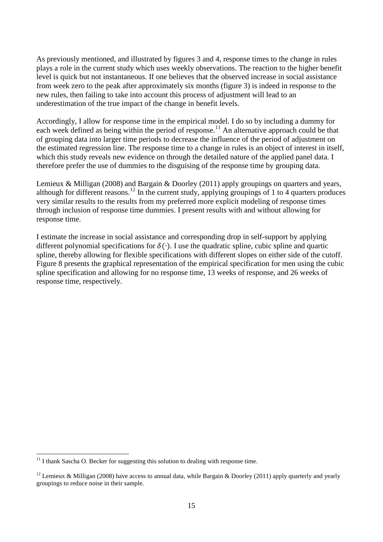As previously mentioned, and illustrated by figures 3 and 4, response times to the change in rules plays a role in the current study which uses weekly observations. The reaction to the higher benefit level is quick but not instantaneous. If one believes that the observed increase in social assistance from week zero to the peak after approximately six months (figure 3) is indeed in response to the new rules, then failing to take into account this process of adjustment will lead to an underestimation of the true impact of the change in benefit levels.

Accordingly, I allow for response time in the empirical model. I do so by including a dummy for each week defined as being within the period of response.<sup>[11](#page-14-0)</sup> An alternative approach could be that of grouping data into larger time periods to decrease the influence of the period of adjustment on the estimated regression line. The response time to a change in rules is an object of interest in itself, which this study reveals new evidence on through the detailed nature of the applied panel data. I therefore prefer the use of dummies to the disguising of the response time by grouping data.

Lemieux & Milligan (2008) and Bargain & Doorley (2011) apply groupings on quarters and years, although for different reasons.<sup>[12](#page-14-1)</sup> In the current study, applying groupings of 1 to 4 quarters produces very similar results to the results from my preferred more explicit modeling of response times through inclusion of response time dummies. I present results with and without allowing for response time.

I estimate the increase in social assistance and corresponding drop in self-support by applying different polynomial specifications for  $\delta(\cdot)$ . I use the quadratic spline, cubic spline and quartic spline, thereby allowing for flexible specifications with different slopes on either side of the cutoff. Figure 8 presents the graphical representation of the empirical specification for men using the cubic spline specification and allowing for no response time, 13 weeks of response, and 26 weeks of response time, respectively.

<span id="page-14-0"></span> $11$  I thank Sascha O. Becker for suggesting this solution to dealing with response time.

<span id="page-14-1"></span><sup>&</sup>lt;sup>12</sup> Lemieux & Milligan (2008) have access to annual data, while Bargain & Doorley (2011) apply quarterly and yearly groupings to reduce noise in their sample.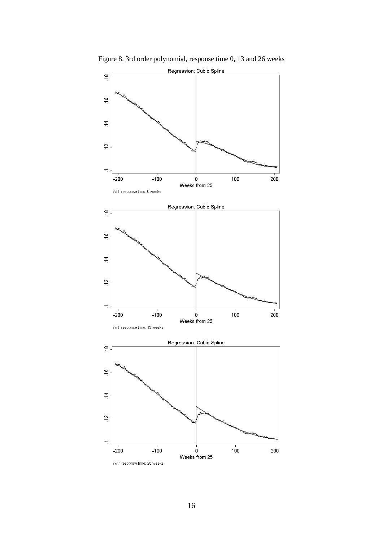

Figure 8. 3rd order polynomial, response time 0, 13 and 26 weeks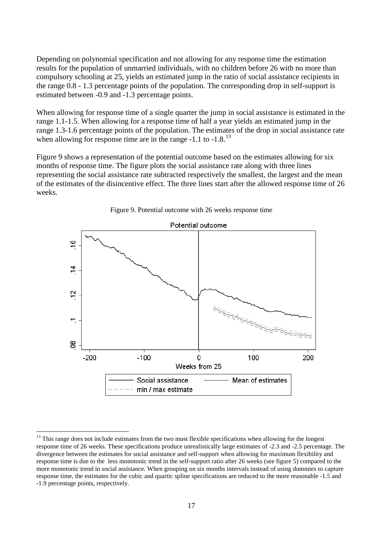Depending on polynomial specification and not allowing for any response time the estimation results for the population of unmarried individuals, with no children before 26 with no more than compulsory schooling at 25, yields an estimated jump in the ratio of social assistance recipients in the range 0.8 - 1.3 percentage points of the population. The corresponding drop in self-support is estimated between -0.9 and -1.3 percentage points.

When allowing for response time of a single quarter the jump in social assistance is estimated in the range 1.1-1.5. When allowing for a response time of half a year yields an estimated jump in the range 1.3-1.6 percentage points of the population. The estimates of the drop in social assistance rate when allowing for response time are in the range  $-1.1$  to  $-1.8$ .<sup>[13](#page-16-0)</sup>

Figure 9 shows a representation of the potential outcome based on the estimates allowing for six months of response time. The figure plots the social assistance rate along with three lines representing the social assistance rate subtracted respectively the smallest, the largest and the mean of the estimates of the disincentive effect. The three lines start after the allowed response time of 26 weeks.





<span id="page-16-0"></span><sup>&</sup>lt;sup>13</sup> This range does not include estimates from the two most flexible specifications when allowing for the longest response time of 26 weeks. These specifications produce unrealistically large estimates of -2.3 and -2.5 percentage. The divergence between the estimates for social assistance and self-support when allowing for maximum flexibility and response time is due to the less monotonic trend in the self-support ratio after 26 weeks (see figure 5) compared to the more monotonic trend in social assistance. When grouping on six months intervals instead of using dummies to capture response time, the estimates for the cubic and quartic spline specifications are reduced to the more reasonable -1.5 and -1.9 percentage points, respectively.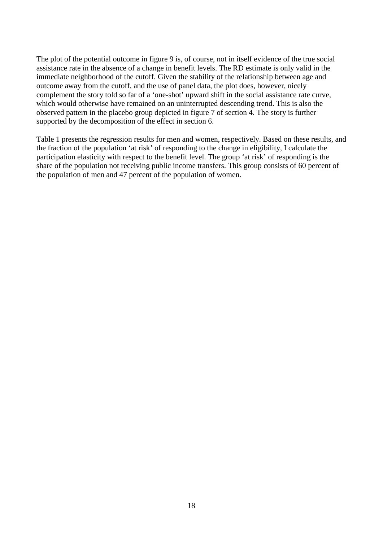The plot of the potential outcome in figure 9 is, of course, not in itself evidence of the true social assistance rate in the absence of a change in benefit levels. The RD estimate is only valid in the immediate neighborhood of the cutoff. Given the stability of the relationship between age and outcome away from the cutoff, and the use of panel data, the plot does, however, nicely complement the story told so far of a 'one-shot' upward shift in the social assistance rate curve, which would otherwise have remained on an uninterrupted descending trend. This is also the observed pattern in the placebo group depicted in figure 7 of section 4. The story is further supported by the decomposition of the effect in section 6.

Table 1 presents the regression results for men and women, respectively. Based on these results, and the fraction of the population 'at risk' of responding to the change in eligibility, I calculate the participation elasticity with respect to the benefit level. The group 'at risk' of responding is the share of the population not receiving public income transfers. This group consists of 60 percent of the population of men and 47 percent of the population of women.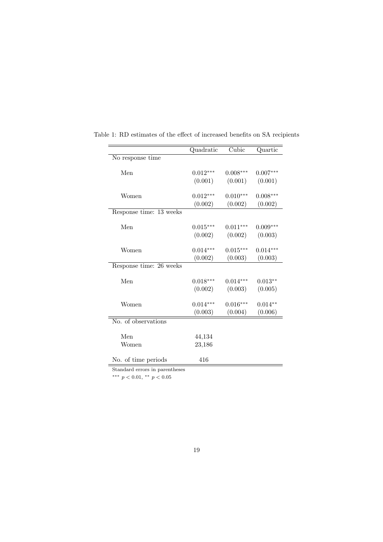|                                | Quadratic  | Cubic      | Quartic    |
|--------------------------------|------------|------------|------------|
| No response time               |            |            |            |
|                                |            |            |            |
| Men                            | $0.012***$ | $0.008***$ | $0.007***$ |
|                                | (0.001)    | (0.001)    | (0.001)    |
| Women                          | $0.012***$ | $0.010***$ | $0.008***$ |
|                                | (0.002)    | (0.002)    | (0.002)    |
| Response time: 13 weeks        |            |            |            |
|                                |            |            |            |
| Men                            | $0.015***$ | $0.011***$ | $0.009***$ |
|                                | (0.002)    | (0.002)    | (0.003)    |
| Women                          | $0.014***$ | $0.015***$ | $0.014***$ |
|                                | (0.002)    | (0.003)    | (0.003)    |
| Response time: 26 weeks        |            |            |            |
|                                |            |            |            |
| Men                            | $0.018***$ | $0.014***$ | $0.013**$  |
|                                | (0.002)    | (0.003)    | (0.005)    |
|                                |            | $0.016***$ |            |
| Women                          | $0.014***$ |            | $0.014**$  |
|                                | (0.003)    | (0.004)    | (0.006)    |
| No. of observations            |            |            |            |
| Men                            | 44,134     |            |            |
| Women                          | 23,186     |            |            |
|                                |            |            |            |
| No. of time periods            | 416        |            |            |
| Standard errors in parentheses |            |            |            |

Table 1: RD estimates of the effect of increased benefits on SA recipients

Standard errors in parentheses

∗∗∗ p < 0.01, ∗∗ p < 0.05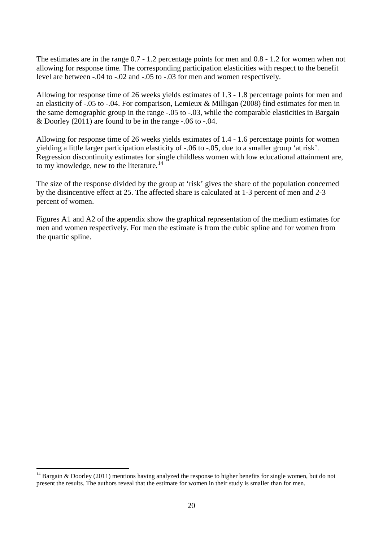The estimates are in the range 0.7 - 1.2 percentage points for men and 0.8 - 1.2 for women when not allowing for response time. The corresponding participation elasticities with respect to the benefit level are between -.04 to -.02 and -.05 to -.03 for men and women respectively.

Allowing for response time of 26 weeks yields estimates of 1.3 - 1.8 percentage points for men and an elasticity of -.05 to -.04. For comparison, Lemieux & Milligan (2008) find estimates for men in the same demographic group in the range -.05 to -.03, while the comparable elasticities in Bargain & Doorley  $(2011)$  are found to be in the range  $-0.06$  to  $-0.04$ .

Allowing for response time of 26 weeks yields estimates of 1.4 - 1.6 percentage points for women yielding a little larger participation elasticity of -.06 to -.05, due to a smaller group 'at risk'. Regression discontinuity estimates for single childless women with low educational attainment are, to my knowledge, new to the literature.<sup>[14](#page-19-0)</sup>

The size of the response divided by the group at 'risk' gives the share of the population concerned by the disincentive effect at 25. The affected share is calculated at 1-3 percent of men and 2-3 percent of women.

Figures A1 and A2 of the appendix show the graphical representation of the medium estimates for men and women respectively. For men the estimate is from the cubic spline and for women from the quartic spline.

<span id="page-19-0"></span><sup>&</sup>lt;sup>14</sup> Bargain & Doorley (2011) mentions having analyzed the response to higher benefits for single women, but do not present the results. The authors reveal that the estimate for women in their study is smaller than for men.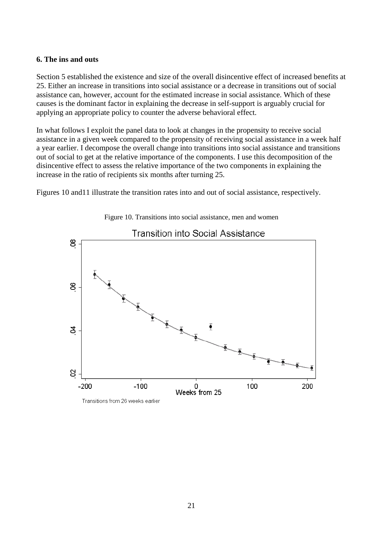#### **6. The ins and outs**

Section 5 established the existence and size of the overall disincentive effect of increased benefits at 25. Either an increase in transitions into social assistance or a decrease in transitions out of social assistance can, however, account for the estimated increase in social assistance. Which of these causes is the dominant factor in explaining the decrease in self-support is arguably crucial for applying an appropriate policy to counter the adverse behavioral effect.

In what follows I exploit the panel data to look at changes in the propensity to receive social assistance in a given week compared to the propensity of receiving social assistance in a week half a year earlier. I decompose the overall change into transitions into social assistance and transitions out of social to get at the relative importance of the components. I use this decomposition of the disincentive effect to assess the relative importance of the two components in explaining the increase in the ratio of recipients six months after turning 25.

Figures 10 and11 illustrate the transition rates into and out of social assistance, respectively.



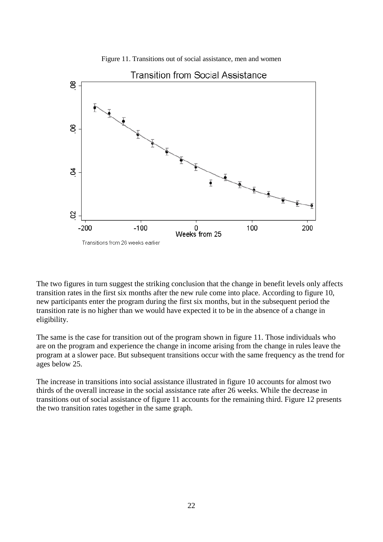



The two figures in turn suggest the striking conclusion that the change in benefit levels only affects transition rates in the first six months after the new rule come into place. According to figure 10, new participants enter the program during the first six months, but in the subsequent period the transition rate is no higher than we would have expected it to be in the absence of a change in eligibility.

The same is the case for transition out of the program shown in figure 11. Those individuals who are on the program and experience the change in income arising from the change in rules leave the program at a slower pace. But subsequent transitions occur with the same frequency as the trend for ages below 25.

The increase in transitions into social assistance illustrated in figure 10 accounts for almost two thirds of the overall increase in the social assistance rate after 26 weeks. While the decrease in transitions out of social assistance of figure 11 accounts for the remaining third. Figure 12 presents the two transition rates together in the same graph.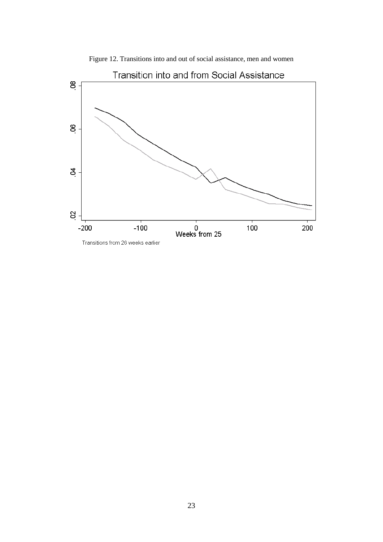

Figure 12. Transitions into and out of social assistance, men and women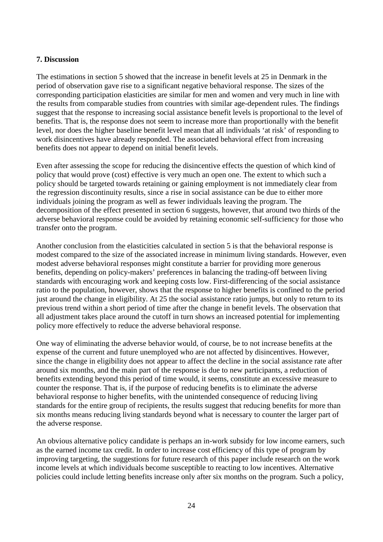### **7. Discussion**

The estimations in section 5 showed that the increase in benefit levels at 25 in Denmark in the period of observation gave rise to a significant negative behavioral response. The sizes of the corresponding participation elasticities are similar for men and women and very much in line with the results from comparable studies from countries with similar age-dependent rules. The findings suggest that the response to increasing social assistance benefit levels is proportional to the level of benefits. That is, the response does not seem to increase more than proportionally with the benefit level, nor does the higher baseline benefit level mean that all individuals 'at risk' of responding to work disincentives have already responded. The associated behavioral effect from increasing benefits does not appear to depend on initial benefit levels.

Even after assessing the scope for reducing the disincentive effects the question of which kind of policy that would prove (cost) effective is very much an open one. The extent to which such a policy should be targeted towards retaining or gaining employment is not immediately clear from the regression discontinuity results, since a rise in social assistance can be due to either more individuals joining the program as well as fewer individuals leaving the program. The decomposition of the effect presented in section 6 suggests, however, that around two thirds of the adverse behavioral response could be avoided by retaining economic self-sufficiency for those who transfer onto the program.

Another conclusion from the elasticities calculated in section 5 is that the behavioral response is modest compared to the size of the associated increase in minimum living standards. However, even modest adverse behavioral responses might constitute a barrier for providing more generous benefits, depending on policy-makers' preferences in balancing the trading-off between living standards with encouraging work and keeping costs low. First-differencing of the social assistance ratio to the population, however, shows that the response to higher benefits is confined to the period just around the change in eligibility. At 25 the social assistance ratio jumps, but only to return to its previous trend within a short period of time after the change in benefit levels. The observation that all adjustment takes place around the cutoff in turn shows an increased potential for implementing policy more effectively to reduce the adverse behavioral response.

One way of eliminating the adverse behavior would, of course, be to not increase benefits at the expense of the current and future unemployed who are not affected by disincentives. However, since the change in eligibility does not appear to affect the decline in the social assistance rate after around six months, and the main part of the response is due to new participants, a reduction of benefits extending beyond this period of time would, it seems, constitute an excessive measure to counter the response. That is, if the purpose of reducing benefits is to eliminate the adverse behavioral response to higher benefits, with the unintended consequence of reducing living standards for the entire group of recipients, the results suggest that reducing benefits for more than six months means reducing living standards beyond what is necessary to counter the larger part of the adverse response.

An obvious alternative policy candidate is perhaps an in-work subsidy for low income earners, such as the earned income tax credit. In order to increase cost efficiency of this type of program by improving targeting, the suggestions for future research of this paper include research on the work income levels at which individuals become susceptible to reacting to low incentives. Alternative policies could include letting benefits increase only after six months on the program. Such a policy,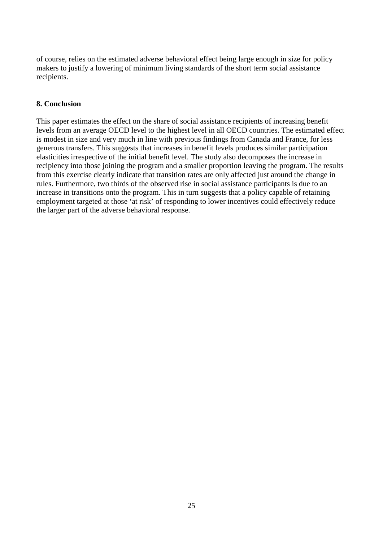of course, relies on the estimated adverse behavioral effect being large enough in size for policy makers to justify a lowering of minimum living standards of the short term social assistance recipients.

### **8. Conclusion**

This paper estimates the effect on the share of social assistance recipients of increasing benefit levels from an average OECD level to the highest level in all OECD countries. The estimated effect is modest in size and very much in line with previous findings from Canada and France, for less generous transfers. This suggests that increases in benefit levels produces similar participation elasticities irrespective of the initial benefit level. The study also decomposes the increase in recipiency into those joining the program and a smaller proportion leaving the program. The results from this exercise clearly indicate that transition rates are only affected just around the change in rules. Furthermore, two thirds of the observed rise in social assistance participants is due to an increase in transitions onto the program. This in turn suggests that a policy capable of retaining employment targeted at those 'at risk' of responding to lower incentives could effectively reduce the larger part of the adverse behavioral response.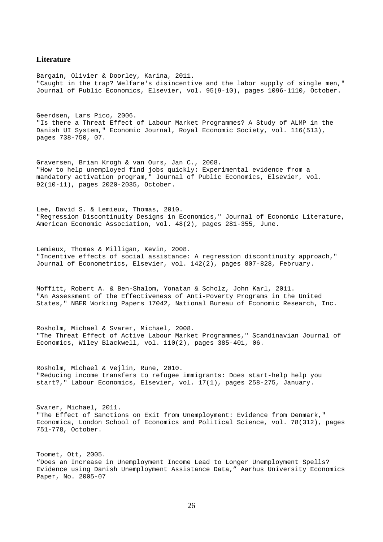#### **Literature**

Bargain, Olivier & Doorley, Karina, 2011. "Caught in the trap? Welfare's disincentive and the labor supply of single men," Journal of Public Economics, Elsevier, vol. 95(9-10), pages 1096-1110, October.

Geerdsen, Lars Pico, 2006. "Is there a Threat Effect of Labour Market Programmes? A Study of ALMP in the Danish UI System," Economic Journal, Royal Economic Society, vol. 116(513), pages 738-750, 07.

Graversen, Brian Krogh & van Ours, Jan C., 2008. "How to help unemployed find jobs quickly: Experimental evidence from a mandatory activation program," Journal of Public Economics, Elsevier, vol. 92(10-11), pages 2020-2035, October.

Lee, David S. & Lemieux, Thomas, 2010. "Regression Discontinuity Designs in Economics," Journal of Economic Literature, American Economic Association, vol. 48(2), pages 281-355, June.

Lemieux, Thomas & Milligan, Kevin, 2008. "Incentive effects of social assistance: A regression discontinuity approach," Journal of Econometrics, Elsevier, vol. 142(2), pages 807-828, February.

Moffitt, Robert A. & Ben-Shalom, Yonatan & Scholz, John Karl, 2011. "An Assessment of the Effectiveness of Anti-Poverty Programs in the United States," NBER Working Papers 17042, National Bureau of Economic Research, Inc.

Rosholm, Michael & Svarer, Michael, 2008. "The Threat Effect of Active Labour Market Programmes," Scandinavian Journal of Economics, Wiley Blackwell, vol. 110(2), pages 385-401, 06.

Rosholm, Michael & Vejlin, Rune, 2010. "Reducing income transfers to refugee immigrants: Does start-help help you start?," Labour Economics, Elsevier, vol. 17(1), pages 258-275, January.

Svarer, Michael, 2011. "The Effect of Sanctions on Exit from Unemployment: Evidence from Denmark," Economica, London School of Economics and Political Science, vol. 78(312), pages 751-778, October.

Toomet, Ott, 2005. "Does an Increase in Unemployment Income Lead to Longer Unemployment Spells? Evidence using Danish Unemployment Assistance Data," Aarhus University Economics Paper, No. 2005-07